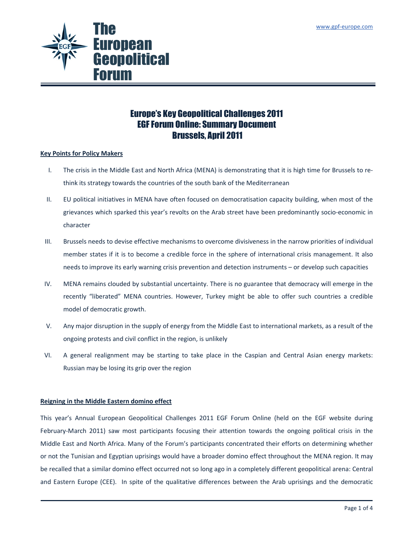

# Europe's Key Geopolitical Challenges 2011 EGF Forum Online: Summary Document Brussels, April 2011

## Key Points for Policy Makers

- I. The crisis in the Middle East and North Africa (MENA) is demonstrating that it is high time for Brussels to rethink its strategy towards the countries of the south bank of the Mediterranean
- II. EU political initiatives in MENA have often focused on democratisation capacity building, when most of the grievances which sparked this year's revolts on the Arab street have been predominantly socio-economic in character
- III. Brussels needs to devise effective mechanisms to overcome divisiveness in the narrow priorities of individual member states if it is to become a credible force in the sphere of international crisis management. It also needs to improve its early warning crisis prevention and detection instruments – or develop such capacities
- IV. MENA remains clouded by substantial uncertainty. There is no guarantee that democracy will emerge in the recently "liberated" MENA countries. However, Turkey might be able to offer such countries a credible model of democratic growth.
- V. Any major disruption in the supply of energy from the Middle East to international markets, as a result of the ongoing protests and civil conflict in the region, is unlikely
- VI. A general realignment may be starting to take place in the Caspian and Central Asian energy markets: Russian may be losing its grip over the region

## Reigning in the Middle Eastern domino effect

This year's Annual European Geopolitical Challenges 2011 EGF Forum Online (held on the EGF website during February-March 2011) saw most participants focusing their attention towards the ongoing political crisis in the Middle East and North Africa. Many of the Forum's participants concentrated their efforts on determining whether or not the Tunisian and Egyptian uprisings would have a broader domino effect throughout the MENA region. It may be recalled that a similar domino effect occurred not so long ago in a completely different geopolitical arena: Central and Eastern Europe (CEE). In spite of the qualitative differences between the Arab uprisings and the democratic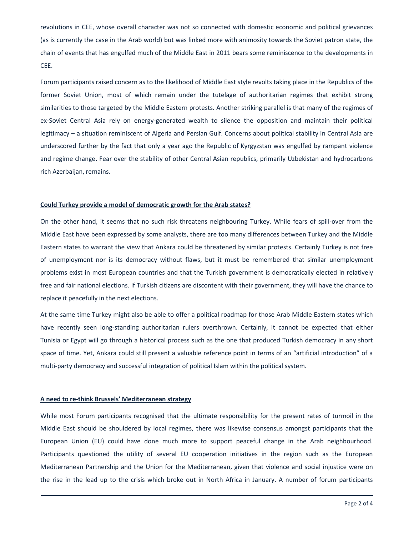revolutions in CEE, whose overall character was not so connected with domestic economic and political grievances (as is currently the case in the Arab world) but was linked more with animosity towards the Soviet patron state, the chain of events that has engulfed much of the Middle East in 2011 bears some reminiscence to the developments in CEE.

Forum participants raised concern as to the likelihood of Middle East style revolts taking place in the Republics of the former Soviet Union, most of which remain under the tutelage of authoritarian regimes that exhibit strong similarities to those targeted by the Middle Eastern protests. Another striking parallel is that many of the regimes of ex-Soviet Central Asia rely on energy-generated wealth to silence the opposition and maintain their political legitimacy – a situation reminiscent of Algeria and Persian Gulf. Concerns about political stability in Central Asia are underscored further by the fact that only a year ago the Republic of Kyrgyzstan was engulfed by rampant violence and regime change. Fear over the stability of other Central Asian republics, primarily Uzbekistan and hydrocarbons rich Azerbaijan, remains.

#### Could Turkey provide a model of democratic growth for the Arab states?

On the other hand, it seems that no such risk threatens neighbouring Turkey. While fears of spill-over from the Middle East have been expressed by some analysts, there are too many differences between Turkey and the Middle Eastern states to warrant the view that Ankara could be threatened by similar protests. Certainly Turkey is not free of unemployment nor is its democracy without flaws, but it must be remembered that similar unemployment problems exist in most European countries and that the Turkish government is democratically elected in relatively free and fair national elections. If Turkish citizens are discontent with their government, they will have the chance to replace it peacefully in the next elections.

At the same time Turkey might also be able to offer a political roadmap for those Arab Middle Eastern states which have recently seen long-standing authoritarian rulers overthrown. Certainly, it cannot be expected that either Tunisia or Egypt will go through a historical process such as the one that produced Turkish democracy in any short space of time. Yet, Ankara could still present a valuable reference point in terms of an "artificial introduction" of a multi-party democracy and successful integration of political Islam within the political system.

### A need to re-think Brussels' Mediterranean strategy

While most Forum participants recognised that the ultimate responsibility for the present rates of turmoil in the Middle East should be shouldered by local regimes, there was likewise consensus amongst participants that the European Union (EU) could have done much more to support peaceful change in the Arab neighbourhood. Participants questioned the utility of several EU cooperation initiatives in the region such as the European Mediterranean Partnership and the Union for the Mediterranean, given that violence and social injustice were on the rise in the lead up to the crisis which broke out in North Africa in January. A number of forum participants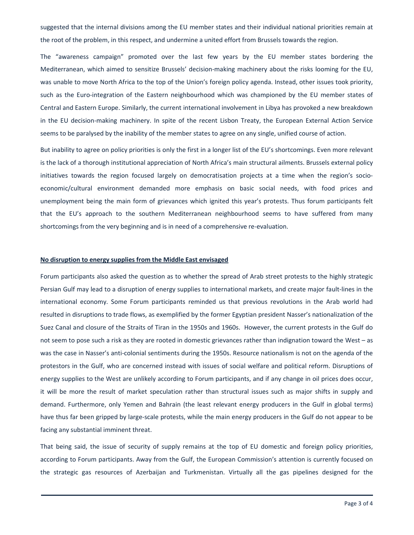suggested that the internal divisions among the EU member states and their individual national priorities remain at the root of the problem, in this respect, and undermine a united effort from Brussels towards the region.

The "awareness campaign" promoted over the last few years by the EU member states bordering the Mediterranean, which aimed to sensitize Brussels' decision-making machinery about the risks looming for the EU, was unable to move North Africa to the top of the Union's foreign policy agenda. Instead, other issues took priority, such as the Euro-integration of the Eastern neighbourhood which was championed by the EU member states of Central and Eastern Europe. Similarly, the current international involvement in Libya has provoked a new breakdown in the EU decision-making machinery. In spite of the recent Lisbon Treaty, the European External Action Service seems to be paralysed by the inability of the member states to agree on any single, unified course of action.

But inability to agree on policy priorities is only the first in a longer list of the EU's shortcomings. Even more relevant is the lack of a thorough institutional appreciation of North Africa's main structural ailments. Brussels external policy initiatives towards the region focused largely on democratisation projects at a time when the region's socioeconomic/cultural environment demanded more emphasis on basic social needs, with food prices and unemployment being the main form of grievances which ignited this year's protests. Thus forum participants felt that the EU's approach to the southern Mediterranean neighbourhood seems to have suffered from many shortcomings from the very beginning and is in need of a comprehensive re-evaluation.

### No disruption to energy supplies from the Middle East envisaged

Forum participants also asked the question as to whether the spread of Arab street protests to the highly strategic Persian Gulf may lead to a disruption of energy supplies to international markets, and create major fault-lines in the international economy. Some Forum participants reminded us that previous revolutions in the Arab world had resulted in disruptions to trade flows, as exemplified by the former Egyptian president Nasser's nationalization of the Suez Canal and closure of the Straits of Tiran in the 1950s and 1960s. However, the current protests in the Gulf do not seem to pose such a risk as they are rooted in domestic grievances rather than indignation toward the West – as was the case in Nasser's anti-colonial sentiments during the 1950s. Resource nationalism is not on the agenda of the protestors in the Gulf, who are concerned instead with issues of social welfare and political reform. Disruptions of energy supplies to the West are unlikely according to Forum participants, and if any change in oil prices does occur, it will be more the result of market speculation rather than structural issues such as major shifts in supply and demand. Furthermore, only Yemen and Bahrain (the least relevant energy producers in the Gulf in global terms) have thus far been gripped by large-scale protests, while the main energy producers in the Gulf do not appear to be facing any substantial imminent threat.

That being said, the issue of security of supply remains at the top of EU domestic and foreign policy priorities, according to Forum participants. Away from the Gulf, the European Commission's attention is currently focused on the strategic gas resources of Azerbaijan and Turkmenistan. Virtually all the gas pipelines designed for the